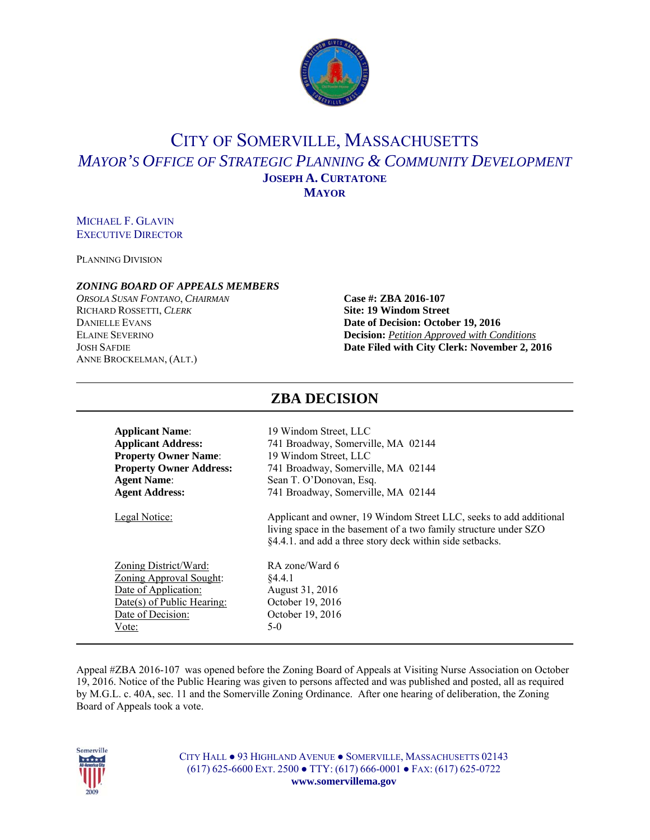

## CITY OF SOMERVILLE, MASSACHUSETTS *MAYOR'S OFFICE OF STRATEGIC PLANNING & COMMUNITY DEVELOPMENT* **JOSEPH A. CURTATONE MAYOR**

#### MICHAEL F. GLAVIN EXECUTIVE DIRECTOR

PLANNING DIVISION

#### *ZONING BOARD OF APPEALS MEMBERS*

*ORSOLA SUSAN FONTANO*, *CHAIRMAN* **Case #: ZBA 2016-107** RICHARD ROSSETTI, *CLERK* **Site: 19 Windom Street** ANNE BROCKELMAN, (ALT.)

# **DANIELLE EVANS Date of Decision: October 19, 2016** ELAINE SEVERINO **Decision:** *Petition Approved with Conditions* JOSH SAFDIE **Date Filed with City Clerk: November 2, 2016**

| <b>Applicant Name:</b>         | 19 Windom Street, LLC                                                                                                                                                                              |  |  |
|--------------------------------|----------------------------------------------------------------------------------------------------------------------------------------------------------------------------------------------------|--|--|
| <b>Applicant Address:</b>      | 741 Broadway, Somerville, MA 02144                                                                                                                                                                 |  |  |
| <b>Property Owner Name:</b>    | 19 Windom Street, LLC                                                                                                                                                                              |  |  |
| <b>Property Owner Address:</b> | 741 Broadway, Somerville, MA 02144                                                                                                                                                                 |  |  |
| <b>Agent Name:</b>             | Sean T. O'Donovan, Esq.                                                                                                                                                                            |  |  |
| <b>Agent Address:</b>          | 741 Broadway, Somerville, MA 02144                                                                                                                                                                 |  |  |
| Legal Notice:                  | Applicant and owner, 19 Windom Street LLC, seeks to add additional<br>living space in the basement of a two family structure under SZO<br>§4.4.1. and add a three story deck within side setbacks. |  |  |
| Zoning District/Ward:          | RA zone/Ward 6                                                                                                                                                                                     |  |  |
| <b>Zoning Approval Sought:</b> | \$4.4.1                                                                                                                                                                                            |  |  |
| Date of Application:           | August 31, 2016                                                                                                                                                                                    |  |  |
| Date(s) of Public Hearing:     | October 19, 2016                                                                                                                                                                                   |  |  |
| Date of Decision:              | October 19, 2016                                                                                                                                                                                   |  |  |
| Vote:                          | 5-0                                                                                                                                                                                                |  |  |

#### Appeal #ZBA 2016-107 was opened before the Zoning Board of Appeals at Visiting Nurse Association on October 19, 2016. Notice of the Public Hearing was given to persons affected and was published and posted, all as required by M.G.L. c. 40A, sec. 11 and the Somerville Zoning Ordinance. After one hearing of deliberation, the Zoning Board of Appeals took a vote.



CITY HALL ● 93 HIGHLAND AVENUE ● SOMERVILLE, MASSACHUSETTS 02143 (617) 625-6600 EXT. 2500 ● TTY: (617) 666-0001 ● FAX: (617) 625-0722 **www.somervillema.gov** 

### **ZBA DECISION**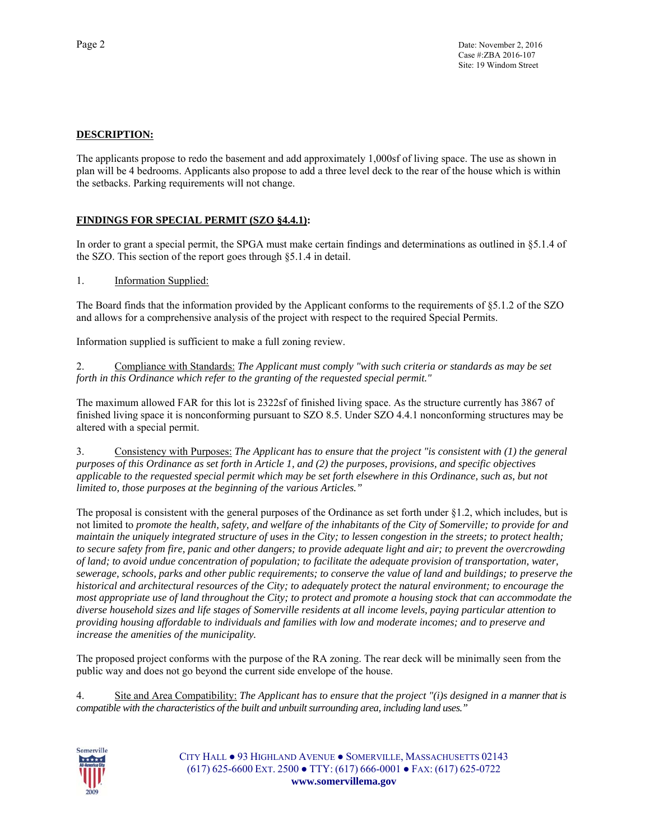#### **DESCRIPTION:**

The applicants propose to redo the basement and add approximately 1,000sf of living space. The use as shown in plan will be 4 bedrooms. Applicants also propose to add a three level deck to the rear of the house which is within the setbacks. Parking requirements will not change.

#### **FINDINGS FOR SPECIAL PERMIT (SZO §4.4.1):**

In order to grant a special permit, the SPGA must make certain findings and determinations as outlined in §5.1.4 of the SZO. This section of the report goes through §5.1.4 in detail.

#### 1. Information Supplied:

The Board finds that the information provided by the Applicant conforms to the requirements of §5.1.2 of the SZO and allows for a comprehensive analysis of the project with respect to the required Special Permits.

Information supplied is sufficient to make a full zoning review.

2. Compliance with Standards: *The Applicant must comply "with such criteria or standards as may be set forth in this Ordinance which refer to the granting of the requested special permit."* 

The maximum allowed FAR for this lot is 2322sf of finished living space. As the structure currently has 3867 of finished living space it is nonconforming pursuant to SZO 8.5. Under SZO 4.4.1 nonconforming structures may be altered with a special permit.

3. Consistency with Purposes: *The Applicant has to ensure that the project "is consistent with (1) the general purposes of this Ordinance as set forth in Article 1, and (2) the purposes, provisions, and specific objectives applicable to the requested special permit which may be set forth elsewhere in this Ordinance, such as, but not limited to, those purposes at the beginning of the various Articles."* 

The proposal is consistent with the general purposes of the Ordinance as set forth under §1.2, which includes, but is not limited to *promote the health, safety, and welfare of the inhabitants of the City of Somerville; to provide for and maintain the uniquely integrated structure of uses in the City; to lessen congestion in the streets; to protect health; to secure safety from fire, panic and other dangers; to provide adequate light and air; to prevent the overcrowding of land; to avoid undue concentration of population; to facilitate the adequate provision of transportation, water, sewerage, schools, parks and other public requirements; to conserve the value of land and buildings; to preserve the historical and architectural resources of the City; to adequately protect the natural environment; to encourage the most appropriate use of land throughout the City; to protect and promote a housing stock that can accommodate the diverse household sizes and life stages of Somerville residents at all income levels, paying particular attention to providing housing affordable to individuals and families with low and moderate incomes; and to preserve and increase the amenities of the municipality.* 

The proposed project conforms with the purpose of the RA zoning. The rear deck will be minimally seen from the public way and does not go beyond the current side envelope of the house.

4. Site and Area Compatibility: *The Applicant has to ensure that the project "(i)s designed in a manner that is compatible with the characteristics of the built and unbuilt surrounding area, including land uses."*



CITY HALL ● 93 HIGHLAND AVENUE ● SOMERVILLE, MASSACHUSETTS 02143 (617) 625-6600 EXT. 2500 ● TTY: (617) 666-0001 ● FAX: (617) 625-0722 **www.somervillema.gov**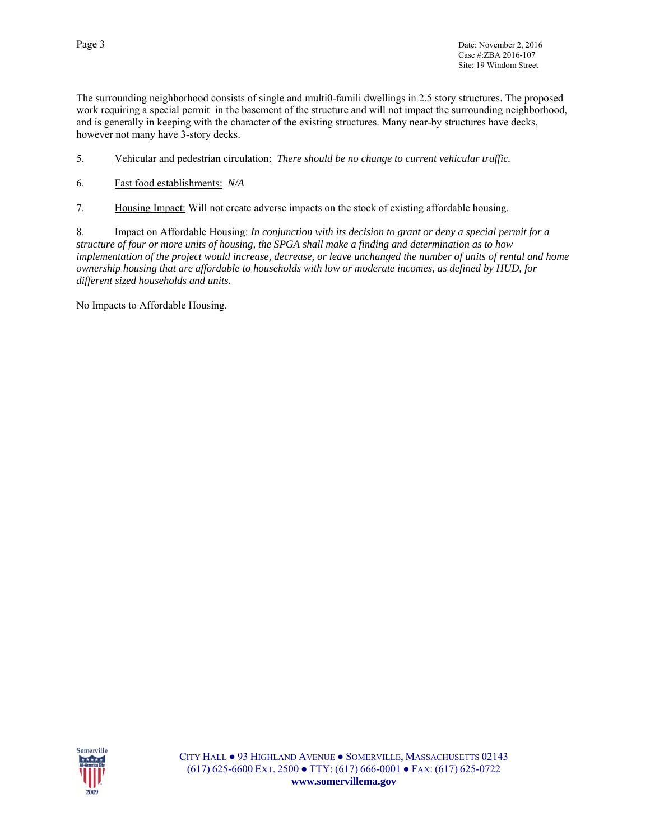The surrounding neighborhood consists of single and multi0-famili dwellings in 2.5 story structures. The proposed work requiring a special permit in the basement of the structure and will not impact the surrounding neighborhood, and is generally in keeping with the character of the existing structures. Many near-by structures have decks, however not many have 3-story decks.

- 5. Vehicular and pedestrian circulation: *There should be no change to current vehicular traffic.*
- 6. Fast food establishments: *N/A*
- 7. Housing Impact: Will not create adverse impacts on the stock of existing affordable housing.

8. Impact on Affordable Housing: *In conjunction with its decision to grant or deny a special permit for a structure of four or more units of housing, the SPGA shall make a finding and determination as to how implementation of the project would increase, decrease, or leave unchanged the number of units of rental and home ownership housing that are affordable to households with low or moderate incomes, as defined by HUD, for different sized households and units.*

No Impacts to Affordable Housing.

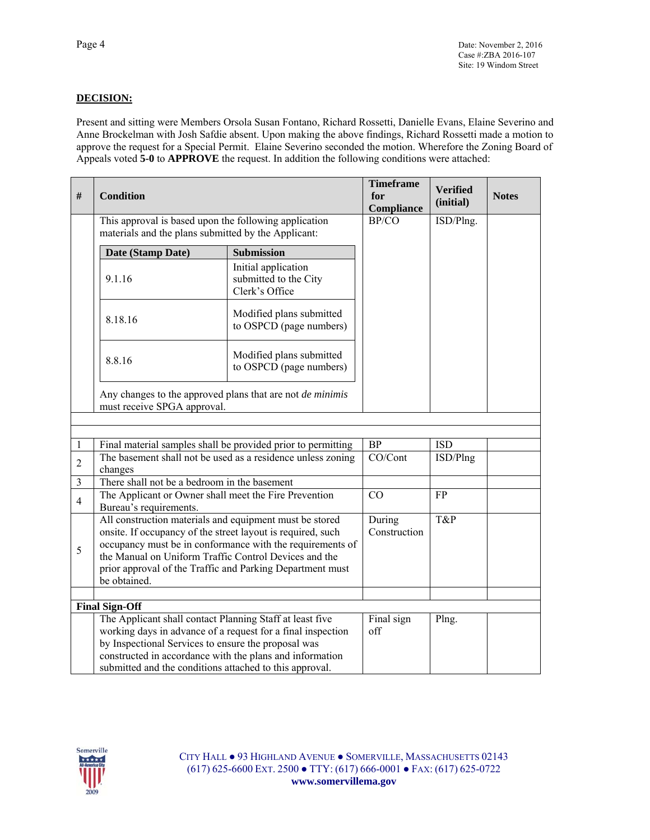#### **DECISION:**

Present and sitting were Members Orsola Susan Fontano, Richard Rossetti, Danielle Evans, Elaine Severino and Anne Brockelman with Josh Safdie absent. Upon making the above findings, Richard Rossetti made a motion to approve the request for a Special Permit. Elaine Severino seconded the motion. Wherefore the Zoning Board of Appeals voted **5-0** to **APPROVE** the request. In addition the following conditions were attached:

| $\#$           | <b>Condition</b>                                                                                                                                                                                                                                                                                                               |                                                                | <b>Timeframe</b><br>for<br><b>Compliance</b> | <b>Verified</b><br>(initial) | <b>Notes</b> |
|----------------|--------------------------------------------------------------------------------------------------------------------------------------------------------------------------------------------------------------------------------------------------------------------------------------------------------------------------------|----------------------------------------------------------------|----------------------------------------------|------------------------------|--------------|
|                | This approval is based upon the following application<br>materials and the plans submitted by the Applicant:                                                                                                                                                                                                                   | BP/CO                                                          | ISD/Plng.                                    |                              |              |
|                | Date (Stamp Date)                                                                                                                                                                                                                                                                                                              | <b>Submission</b>                                              |                                              |                              |              |
|                | 9.1.16                                                                                                                                                                                                                                                                                                                         | Initial application<br>submitted to the City<br>Clerk's Office |                                              |                              |              |
|                | 8.18.16                                                                                                                                                                                                                                                                                                                        | Modified plans submitted<br>to OSPCD (page numbers)            |                                              |                              |              |
|                | 8.8.16                                                                                                                                                                                                                                                                                                                         | Modified plans submitted<br>to OSPCD (page numbers)            |                                              |                              |              |
|                | Any changes to the approved plans that are not <i>de minimis</i><br>must receive SPGA approval.                                                                                                                                                                                                                                |                                                                |                                              |                              |              |
|                |                                                                                                                                                                                                                                                                                                                                |                                                                |                                              |                              |              |
| 1              |                                                                                                                                                                                                                                                                                                                                | Final material samples shall be provided prior to permitting   | <b>BP</b>                                    | <b>ISD</b>                   |              |
| $\overline{2}$ | The basement shall not be used as a residence unless zoning<br>changes                                                                                                                                                                                                                                                         |                                                                | CO/Cont                                      | ISD/Plng                     |              |
| 3              | There shall not be a bedroom in the basement                                                                                                                                                                                                                                                                                   |                                                                |                                              |                              |              |
| $\overline{4}$ | The Applicant or Owner shall meet the Fire Prevention<br>Bureau's requirements.                                                                                                                                                                                                                                                |                                                                | CO                                           | <b>FP</b>                    |              |
| 5              | All construction materials and equipment must be stored<br>onsite. If occupancy of the street layout is required, such<br>occupancy must be in conformance with the requirements of<br>the Manual on Uniform Traffic Control Devices and the<br>prior approval of the Traffic and Parking Department must<br>be obtained.      |                                                                | During<br>Construction                       | T&P                          |              |
|                |                                                                                                                                                                                                                                                                                                                                |                                                                |                                              |                              |              |
|                | <b>Final Sign-Off</b><br>The Applicant shall contact Planning Staff at least five<br>working days in advance of a request for a final inspection<br>by Inspectional Services to ensure the proposal was<br>constructed in accordance with the plans and information<br>submitted and the conditions attached to this approval. |                                                                | Final sign<br>off                            | Plng.                        |              |